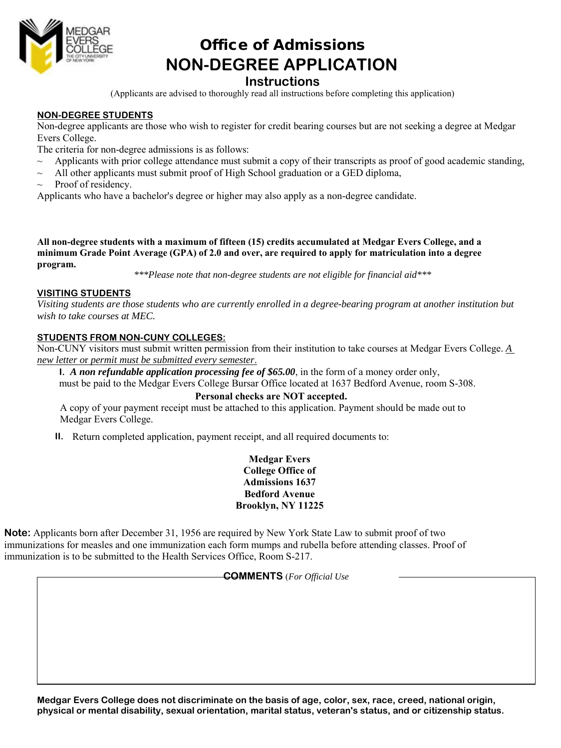

# Office of Admissions  **NON-DEGREE APPLICATION**

### **Instructions**

(Applicants are advised to thoroughly read all instructions before completing this application)

#### **NON-DEGREE STUDENTS**

Non-degree applicants are those who wish to register for credit bearing courses but are not seeking a degree at Medgar Evers College.

- The criteria for non-degree admissions is as follows:
- $\sim$  Applicants with prior college attendance must submit a copy of their transcripts as proof of good academic standing,
- $\sim$  All other applicants must submit proof of High School graduation or a GED diploma,
- Proof of residency.

Applicants who have a bachelor's degree or higher may also apply as a non-degree candidate.

**All non-degree students with a maximum of fifteen (15) credits accumulated at Medgar Evers College, and a minimum Grade Point Average (GPA) of 2.0 and over, are required to apply for matriculation into a degree program.** 

*\*\*\*Please note that non-degree students are not eligible for financial aid\*\*\** 

#### **VISITING STUDENTS**

*Visiting students are those students who are currently enrolled in a degree-bearing program at another institution but wish to take courses at MEC.* 

#### **STUDENTS FROM NON-CUNY COLLEGES:**

Non-CUNY visitors must submit written permission from their institution to take courses at Medgar Evers College. *A new letter o*r *permit must be submitted every semester*.

**I.** *A non refundable application processing fee of \$65.00*, in the form of a money order only,

must be paid to the Medgar Evers College Bursar Office located at 1637 Bedford Avenue, room S-308.

#### **Personal checks are NOT accepted.**

A copy of your payment receipt must be attached to this application. Payment should be made out to Medgar Evers College.

**II.** Return completed application, payment receipt, and all required documents to:

**Medgar Evers College Office of Admissions 1637 Bedford Avenue Brooklyn, NY 11225**

**Note:** Applicants born after December 31, 1956 are required by New York State Law to submit proof of two immunizations for measles and one immunization each form mumps and rubella before attending classes. Proof of immunization is to be submitted to the Health Services Office, Room S-217.

#### **COMMENTS** (*For Official Use*

**Medgar Evers College does not discriminate on the basis of age, color, sex, race, creed, national origin, physical or mental disability, sexual orientation, marital status, veteran's status, and or citizenship status.**